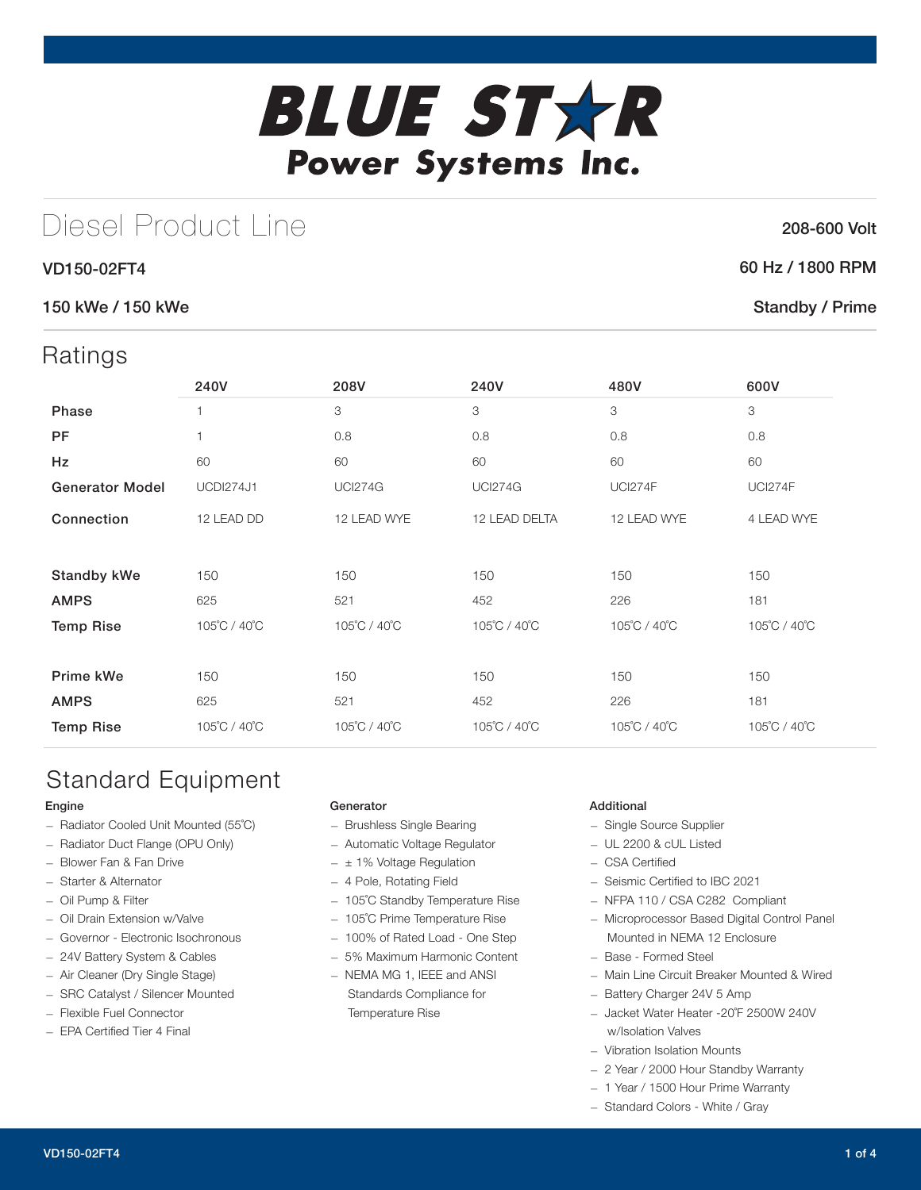# **BLUE STXR** Power Systems Inc.

## Diesel Product Line

#### VD150-02FT4

#### 150 kWe / 150 kWe

### Ratings

| $\cdots$               |                  |                |                |                |                |
|------------------------|------------------|----------------|----------------|----------------|----------------|
|                        | 240V             | 208V           | 240V           | 480V           | 600V           |
| Phase                  | 1                | 3              | 3              | 3              | 3              |
| <b>PF</b>              | 1                | 0.8            | 0.8            | 0.8            | 0.8            |
| Hz                     | 60               | 60             | 60             | 60             | 60             |
| <b>Generator Model</b> | <b>UCDI274J1</b> | <b>UCI274G</b> | <b>UCI274G</b> | <b>UCI274F</b> | <b>UCI274F</b> |
| Connection             | 12 LEAD DD       | 12 LEAD WYE    | 12 LEAD DELTA  | 12 LEAD WYE    | 4 LEAD WYE     |
|                        |                  |                |                |                |                |
| <b>Standby kWe</b>     | 150              | 150            | 150            | 150            | 150            |
| <b>AMPS</b>            | 625              | 521            | 452            | 226            | 181            |
| <b>Temp Rise</b>       | 105°C / 40°C     | 105°C / 40°C   | 105°C / 40°C   | 105°C / 40°C   | 105°C / 40°C   |
|                        |                  |                |                |                |                |
| Prime kWe              | 150              | 150            | 150            | 150            | 150            |
| <b>AMPS</b>            | 625              | 521            | 452            | 226            | 181            |
| <b>Temp Rise</b>       | 105°C / 40°C     | 105°C / 40°C   | 105°C / 40°C   | 105°C / 40°C   | 105°C / 40°C   |
|                        |                  |                |                |                |                |

## Standard Equipment

#### Engine

- Radiator Cooled Unit Mounted (55˚C)
- Radiator Duct Flange (OPU Only)
- Blower Fan & Fan Drive
- Starter & Alternator
- Oil Pump & Filter
- Oil Drain Extension w/Valve
- Governor Electronic Isochronous
- 24V Battery System & Cables
- Air Cleaner (Dry Single Stage)
- SRC Catalyst / Silencer Mounted
- Flexible Fuel Connector
- EPA Certified Tier 4 Final

#### Generator

- Brushless Single Bearing
- Automatic Voltage Regulator
- $\pm$  1% Voltage Regulation
- 4 Pole, Rotating Field
- 105˚C Standby Temperature Rise
- 105˚C Prime Temperature Rise
- 100% of Rated Load One Step
- 5% Maximum Harmonic Content
- NEMA MG 1, IEEE and ANSI Standards Compliance for Temperature Rise

#### Additional

- Single Source Supplier
- UL 2200 & cUL Listed
- CSA Certified
- Seismic Certified to IBC 2021
- NFPA 110 / CSA C282 Compliant
- Microprocessor Based Digital Control Panel Mounted in NEMA 12 Enclosure
- Base Formed Steel
- Main Line Circuit Breaker Mounted & Wired
- Battery Charger 24V 5 Amp
- Jacket Water Heater -20˚F 2500W 240V w/Isolation Valves
- Vibration Isolation Mounts
- 2 Year / 2000 Hour Standby Warranty
- 1 Year / 1500 Hour Prime Warranty
- Standard Colors White / Gray

#### 208-600 Volt

#### 60 Hz / 1800 RPM

#### Standby / Prime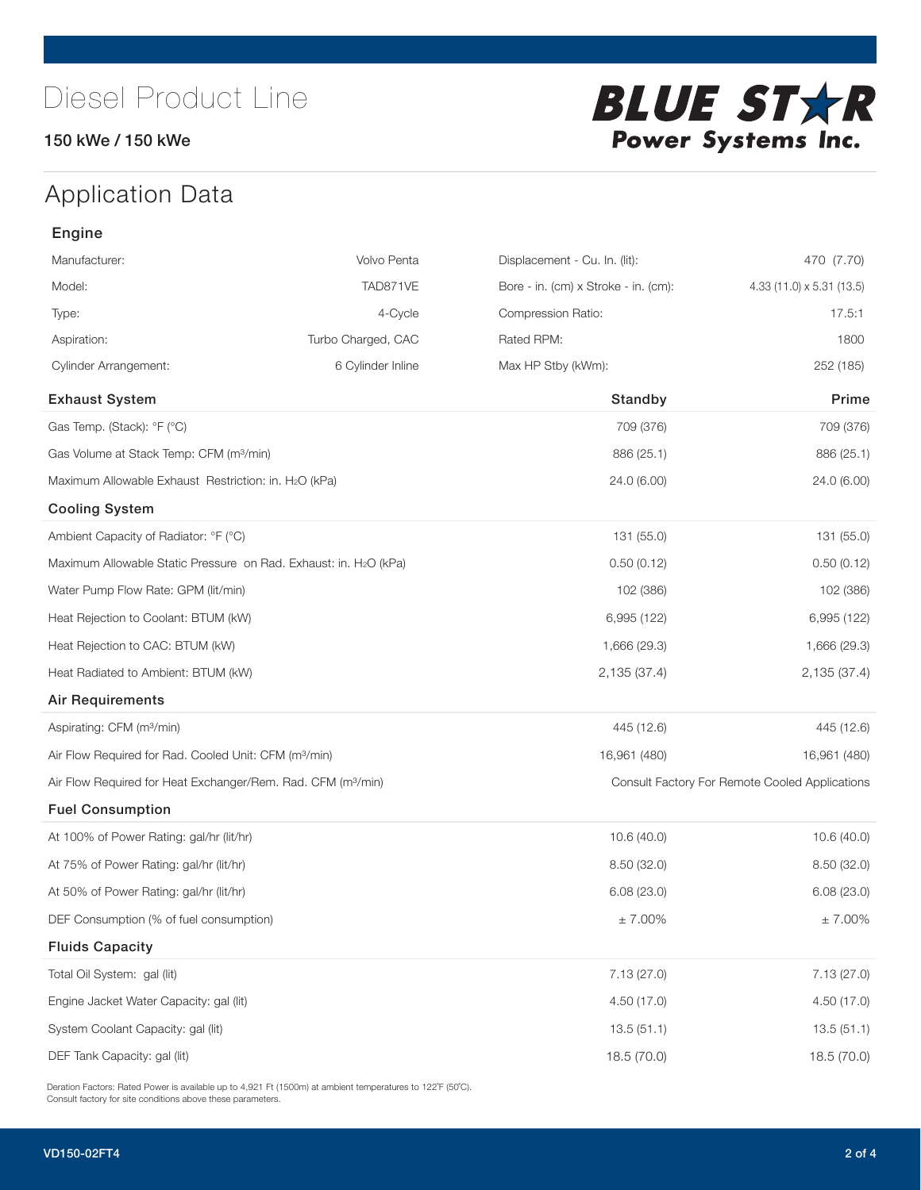#### 150 kWe / 150 kWe



## Application Data

| Engine                                                                        |                    |                                      |                                                |
|-------------------------------------------------------------------------------|--------------------|--------------------------------------|------------------------------------------------|
| Manufacturer:                                                                 | Volvo Penta        | Displacement - Cu. In. (lit):        | 470 (7.70)                                     |
| Model:                                                                        | TAD871VE           | Bore - in. (cm) x Stroke - in. (cm): | 4.33 (11.0) x 5.31 (13.5)                      |
| Type:                                                                         | 4-Cycle            | Compression Ratio:                   | 17.5:1                                         |
| Aspiration:                                                                   | Turbo Charged, CAC | Rated RPM:                           | 1800                                           |
| <b>Cylinder Arrangement:</b>                                                  | 6 Cylinder Inline  | Max HP Stby (kWm):                   | 252 (185)                                      |
| <b>Exhaust System</b>                                                         |                    | Standby                              | Prime                                          |
| Gas Temp. (Stack): °F (°C)                                                    |                    | 709 (376)                            | 709 (376)                                      |
| Gas Volume at Stack Temp: CFM (m <sup>3</sup> /min)                           |                    | 886 (25.1)                           | 886 (25.1)                                     |
| Maximum Allowable Exhaust Restriction: in. H2O (kPa)                          |                    | 24.0 (6.00)                          | 24.0 (6.00)                                    |
| <b>Cooling System</b>                                                         |                    |                                      |                                                |
| Ambient Capacity of Radiator: °F (°C)                                         |                    | 131 (55.0)                           | 131 (55.0)                                     |
| Maximum Allowable Static Pressure on Rad. Exhaust: in. H <sub>2</sub> O (kPa) |                    | 0.50(0.12)                           | 0.50(0.12)                                     |
| Water Pump Flow Rate: GPM (lit/min)                                           |                    | 102 (386)                            | 102 (386)                                      |
| Heat Rejection to Coolant: BTUM (kW)                                          |                    | 6,995 (122)                          | 6,995 (122)                                    |
| Heat Rejection to CAC: BTUM (kW)                                              |                    | 1,666 (29.3)                         | 1,666 (29.3)                                   |
| Heat Radiated to Ambient: BTUM (kW)                                           |                    | 2,135 (37.4)                         | 2,135 (37.4)                                   |
| Air Requirements                                                              |                    |                                      |                                                |
| Aspirating: CFM (m <sup>3</sup> /min)                                         |                    | 445 (12.6)                           | 445 (12.6)                                     |
| Air Flow Required for Rad. Cooled Unit: CFM (m <sup>3</sup> /min)             |                    | 16,961 (480)                         | 16,961 (480)                                   |
| Air Flow Required for Heat Exchanger/Rem. Rad. CFM (m <sup>3</sup> /min)      |                    |                                      | Consult Factory For Remote Cooled Applications |
| <b>Fuel Consumption</b>                                                       |                    |                                      |                                                |
| At 100% of Power Rating: gal/hr (lit/hr)                                      |                    | 10.6(40.0)                           | 10.6(40.0)                                     |
| At 75% of Power Rating: gal/hr (lit/hr)                                       |                    | 8.50(32.0)                           | 8.50 (32.0)                                    |
| At 50% of Power Rating: gal/hr (lit/hr)                                       |                    | 6.08(23.0)                           | 6.08(23.0)                                     |
| DEF Consumption (% of fuel consumption)                                       |                    | $\pm$ 7.00%                          | $\pm$ 7.00%                                    |
| <b>Fluids Capacity</b>                                                        |                    |                                      |                                                |
| Total Oil System: gal (lit)                                                   |                    | 7.13(27.0)                           | 7.13(27.0)                                     |
| Engine Jacket Water Capacity: gal (lit)                                       |                    | 4.50 (17.0)                          | 4.50(17.0)                                     |
| System Coolant Capacity: gal (lit)                                            |                    | 13.5(51.1)                           | 13.5(51.1)                                     |
| DEF Tank Capacity: gal (lit)                                                  |                    | 18.5 (70.0)                          | 18.5 (70.0)                                    |

Deration Factors: Rated Power is available up to 4,921 Ft (1500m) at ambient temperatures to 122°F (50°C). Consult factory for site conditions above these parameters.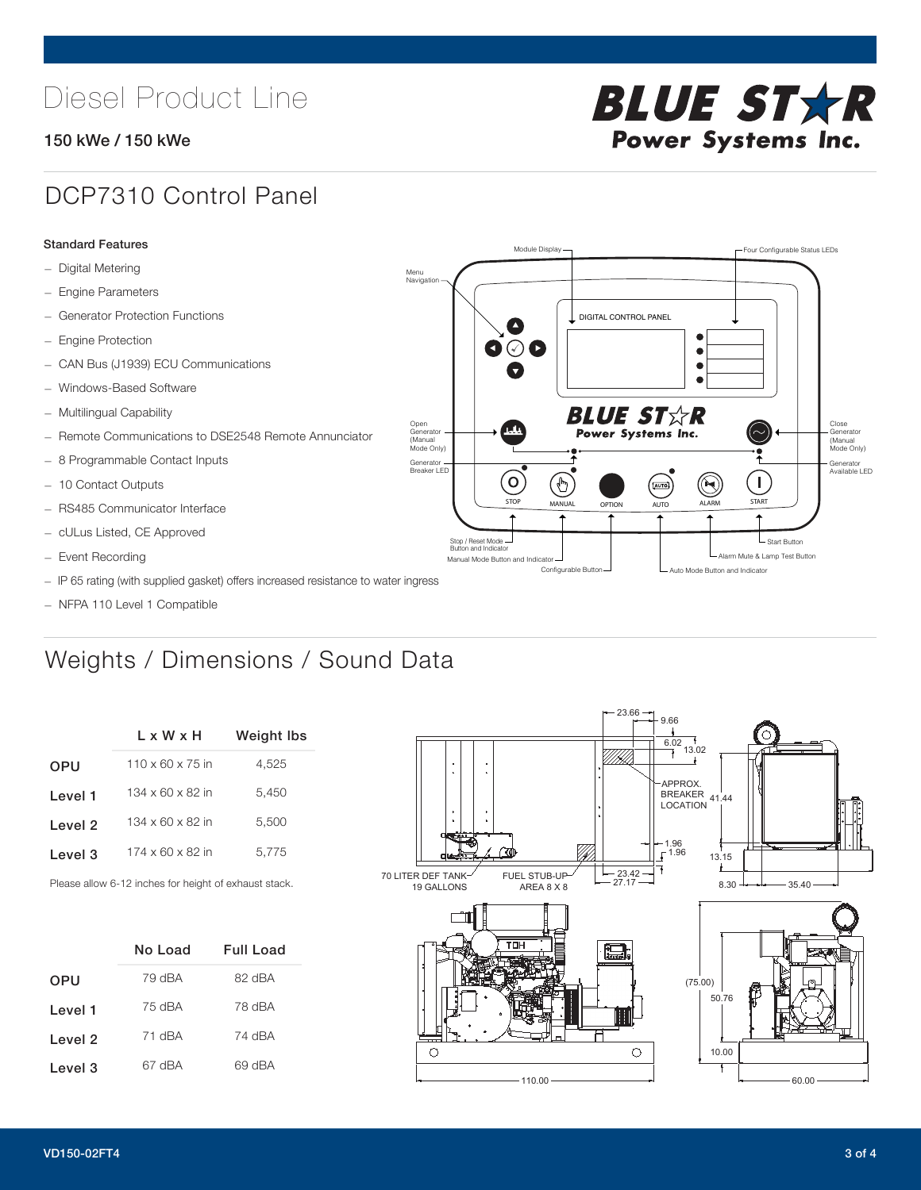## Diesel Product Line

#### 150 kWe / 150 kWe



### DCP7310 Control Panel

#### Standard Features

- Digital Metering
- Engine Parameters
- Generator Protection Functions
- Engine Protection
- CAN Bus (J1939) ECU Communications
- Windows-Based Software
- Multilingual Capability
- Remote Communications to DSE2548 Remote Annunciator
- 8 Programmable Contact Inputs
- 10 Contact Outputs
- RS485 Communicator Interface
- cULus Listed, CE Approved
- Event Recording
- IP 65 rating (with supplied gasket) offers increased resistance to water ingress
- NFPA 110 Level 1 Compatible

### Weights / Dimensions / Sound Data

|            | L x W x H                    | <b>Weight lbs</b> |
|------------|------------------------------|-------------------|
| <b>OPU</b> | $110 \times 60 \times 75$ in | 4.525             |
| Level 1    | $134 \times 60 \times 82$ in | 5.450             |
| Level 2    | $134 \times 60 \times 82$ in | 5.500             |
| Level 3    | $174 \times 60 \times 82$ in | 5,775             |
|            |                              |                   |

Please allow 6-12 inches for height of exhaust stack.

|            | No Load | Full Load |
|------------|---------|-----------|
| <b>OPU</b> | 79 dBA  | 82 dBA    |
| Level 1    | 75 dBA  | 78 dBA    |
| Level 2    | 71 dBA  | 74 dBA    |
| Level 3    | 67 dBA  | 69 dBA    |



STOP MANUAL OPTION AUTO ALARM START

[AUTO]

**BLUE STAR** Power Systems Inc.

Manual Mode Button and Indicator United States and Indicator United States and Indicator United States and Indicator United States and Indicator United States and Indicator United States and Indicator United States and Ind Configurable Button -  $\Box$  Auto Mode Button and Indicator

DIGITAL CONTROL PANEL

Module Display  $\Box$ 

 $\bullet$  $\bullet$  $\bullet$ 

 $\circledcirc$ 

Menu Navigation

Open Generator (Manual Mode Only)

Generator Breaker LED

Stop / Reset Mode Button and Indicator

 $\blacksquare$  $\bullet$   $\circ$   $\bullet$ 

 $\sigma$ 

՟Պ

Close Generator (Manual Mode Only)

Generator Available LED

L Start Button

 $\blacksquare$